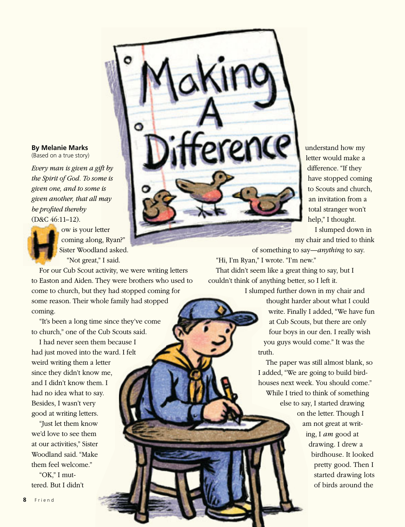WITCHICK

understand how my letter would make a l difference. "If they have stopped coming to Scouts and church, an invitation from a total stranger won't help," I thought.

I slumped down in **my chair and tried to think** 

 of something to say—*anything* to say. "Hi, I'm Ryan," I wrote. "I'm new."

That didn't seem like a great thing to say, but I couldn't think of anything better, so I left it.

I slumped further down in my chair and

thought harder about what I could write. Finally I added, "We have fun at Cub Scouts, but there are only four boys in our den. I really wish you guys would come." It was the truth.

The paper was still almost blank, so I added, "We are going to build birdhouses next week. You should come." While I tried to think of something else to say, I started drawing on the letter. Though I am not great at writ-

> ing, I *am* good at drawing. I drew a birdhouse. It looked pretty good. Then I started drawing lots of birds around the

## **By Melanie Marks**

(Based on a true story)

*Every man is given a gift by ft by the Spirit of God. To some is me is given one, and to some is given another, that all may be profited thereby*  (D&C 46:11–12).

ì ì

 $\bullet$  ow is your letter coming along, Ryan?" Sister Woodland asked. "Not great," I said.

For our Cub Scout activity, we were writing letters to Easton and Aiden. They were brothers who used to come to church, but they had stopped coming for some reason. Their whole family had stopped coming.

"It's been a long time since they've come to church," one of the Cub Scouts said.

I had never seen them because I had just moved into the ward. I felt weird writing them a letter since they didn't know me, and I didn't know them. I had no idea what to say. Besides, I wasn't very good at writing letters.

"Just let them know we'd love to see them at our activities," Sister Woodland said. "Make them feel welcome."

"OK," I muttered. But I didn't